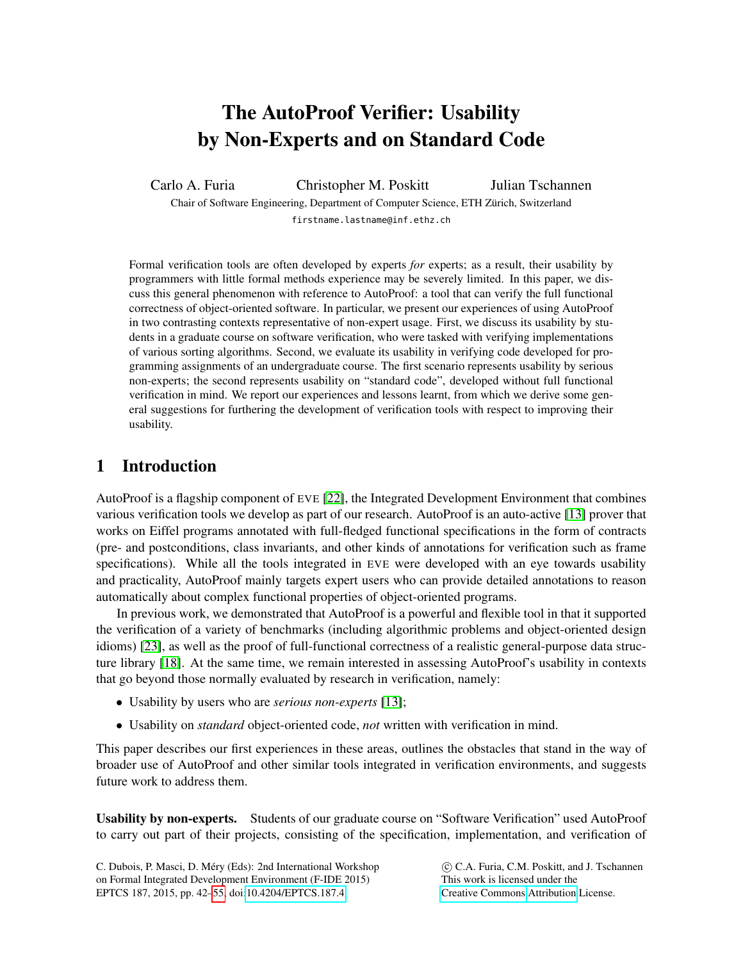# The AutoProof Verifier: Usability by Non-Experts and on Standard Code

Carlo A. Furia Christopher M. Poskitt Julian Tschannen

Chair of Software Engineering, Department of Computer Science, ETH Zürich, Switzerland firstname.lastname@inf.ethz.ch

Formal verification tools are often developed by experts *for* experts; as a result, their usability by programmers with little formal methods experience may be severely limited. In this paper, we discuss this general phenomenon with reference to AutoProof: a tool that can verify the full functional correctness of object-oriented software. In particular, we present our experiences of using AutoProof in two contrasting contexts representative of non-expert usage. First, we discuss its usability by students in a graduate course on software verification, who were tasked with verifying implementations of various sorting algorithms. Second, we evaluate its usability in verifying code developed for programming assignments of an undergraduate course. The first scenario represents usability by serious non-experts; the second represents usability on "standard code", developed without full functional verification in mind. We report our experiences and lessons learnt, from which we derive some general suggestions for furthering the development of verification tools with respect to improving their usability.

## 1 Introduction

AutoProof is a flagship component of EVE [\[22\]](#page-12-0), the Integrated Development Environment that combines various verification tools we develop as part of our research. AutoProof is an auto-active [\[13\]](#page-12-1) prover that works on Eiffel programs annotated with full-fledged functional specifications in the form of contracts (pre- and postconditions, class invariants, and other kinds of annotations for verification such as frame specifications). While all the tools integrated in EVE were developed with an eye towards usability and practicality, AutoProof mainly targets expert users who can provide detailed annotations to reason automatically about complex functional properties of object-oriented programs.

In previous work, we demonstrated that AutoProof is a powerful and flexible tool in that it supported the verification of a variety of benchmarks (including algorithmic problems and object-oriented design idioms) [\[23\]](#page-13-1), as well as the proof of full-functional correctness of a realistic general-purpose data structure library [\[18\]](#page-12-2). At the same time, we remain interested in assessing AutoProof's usability in contexts that go beyond those normally evaluated by research in verification, namely:

- Usability by users who are *serious non-experts* [\[13\]](#page-12-1);
- Usability on *standard* object-oriented code, *not* written with verification in mind.

This paper describes our first experiences in these areas, outlines the obstacles that stand in the way of broader use of AutoProof and other similar tools integrated in verification environments, and suggests future work to address them.

Usability by non-experts. Students of our graduate course on "Software Verification" used AutoProof to carry out part of their projects, consisting of the specification, implementation, and verification of

C. Dubois, P. Masci, D. Méry (Eds): 2nd International Workshop on Formal Integrated Development Environment (F-IDE 2015) EPTCS 187, 2015, pp. 42[–55,](#page-13-0) doi[:10.4204/EPTCS.187.4](http://dx.doi.org/10.4204/EPTCS.187.4)

 c C.A. Furia, C.M. Poskitt, and J. Tschannen This work is licensed under the [Creative Commons](http://creativecommons.org) [Attribution](http://creativecommons.org/licenses/by/3.0/) License.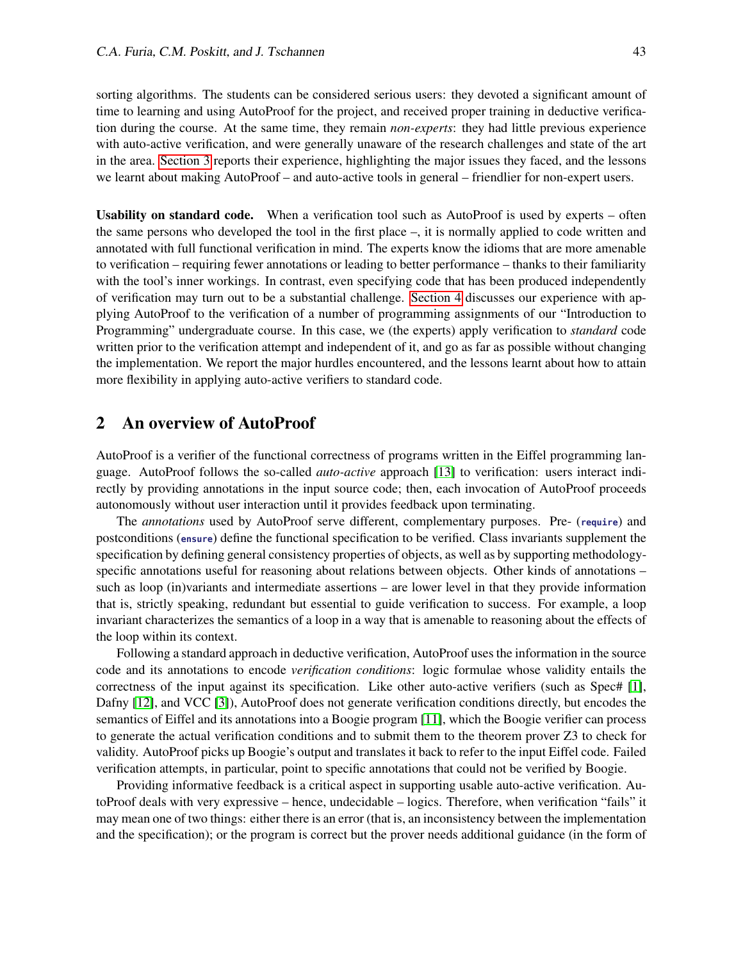sorting algorithms. The students can be considered serious users: they devoted a significant amount of time to learning and using AutoProof for the project, and received proper training in deductive verification during the course. At the same time, they remain *non-experts*: they had little previous experience with auto-active verification, and were generally unaware of the research challenges and state of the art in the area. [Section 3](#page-2-0) reports their experience, highlighting the major issues they faced, and the lessons we learnt about making AutoProof – and auto-active tools in general – friendlier for non-expert users.

Usability on standard code. When a verification tool such as AutoProof is used by experts – often the same persons who developed the tool in the first place –, it is normally applied to code written and annotated with full functional verification in mind. The experts know the idioms that are more amenable to verification – requiring fewer annotations or leading to better performance – thanks to their familiarity with the tool's inner workings. In contrast, even specifying code that has been produced independently of verification may turn out to be a substantial challenge. [Section 4](#page-6-0) discusses our experience with applying AutoProof to the verification of a number of programming assignments of our "Introduction to Programming" undergraduate course. In this case, we (the experts) apply verification to *standard* code written prior to the verification attempt and independent of it, and go as far as possible without changing the implementation. We report the major hurdles encountered, and the lessons learnt about how to attain more flexibility in applying auto-active verifiers to standard code.

## <span id="page-1-0"></span>2 An overview of AutoProof

AutoProof is a verifier of the functional correctness of programs written in the Eiffel programming language. AutoProof follows the so-called *auto-active* approach [\[13\]](#page-12-1) to verification: users interact indirectly by providing annotations in the input source code; then, each invocation of AutoProof proceeds autonomously without user interaction until it provides feedback upon terminating.

The *annotations* used by AutoProof serve different, complementary purposes. Pre- (**require**) and postconditions (**ensure**) define the functional specification to be verified. Class invariants supplement the specification by defining general consistency properties of objects, as well as by supporting methodologyspecific annotations useful for reasoning about relations between objects. Other kinds of annotations – such as loop (in)variants and intermediate assertions – are lower level in that they provide information that is, strictly speaking, redundant but essential to guide verification to success. For example, a loop invariant characterizes the semantics of a loop in a way that is amenable to reasoning about the effects of the loop within its context.

Following a standard approach in deductive verification, AutoProof uses the information in the source code and its annotations to encode *verification conditions*: logic formulae whose validity entails the correctness of the input against its specification. Like other auto-active verifiers (such as Spec# [\[1\]](#page-11-0), Dafny [\[12\]](#page-12-3), and VCC [\[3\]](#page-11-1)), AutoProof does not generate verification conditions directly, but encodes the semantics of Eiffel and its annotations into a Boogie program [\[11\]](#page-12-4), which the Boogie verifier can process to generate the actual verification conditions and to submit them to the theorem prover Z3 to check for validity. AutoProof picks up Boogie's output and translates it back to refer to the input Eiffel code. Failed verification attempts, in particular, point to specific annotations that could not be verified by Boogie.

Providing informative feedback is a critical aspect in supporting usable auto-active verification. AutoProof deals with very expressive – hence, undecidable – logics. Therefore, when verification "fails" it may mean one of two things: either there is an error (that is, an inconsistency between the implementation and the specification); or the program is correct but the prover needs additional guidance (in the form of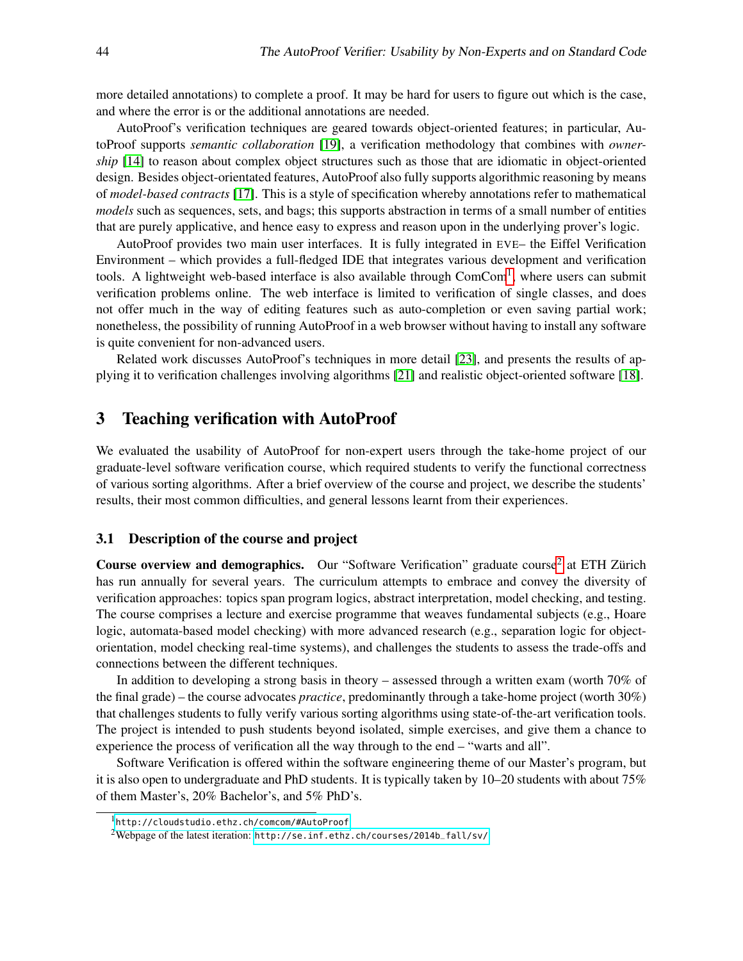more detailed annotations) to complete a proof. It may be hard for users to figure out which is the case, and where the error is or the additional annotations are needed.

AutoProof's verification techniques are geared towards object-oriented features; in particular, AutoProof supports *semantic collaboration* [\[19\]](#page-12-5), a verification methodology that combines with *ownership* [\[14\]](#page-12-6) to reason about complex object structures such as those that are idiomatic in object-oriented design. Besides object-orientated features, AutoProof also fully supports algorithmic reasoning by means of *model-based contracts* [\[17\]](#page-12-7). This is a style of specification whereby annotations refer to mathematical *models* such as sequences, sets, and bags; this supports abstraction in terms of a small number of entities that are purely applicative, and hence easy to express and reason upon in the underlying prover's logic.

AutoProof provides two main user interfaces. It is fully integrated in EVE– the Eiffel Verification Environment – which provides a full-fledged IDE that integrates various development and verification tools. A lightweight web-based interface is also available through ComCom<sup>[1](#page-2-1)</sup>, where users can submit verification problems online. The web interface is limited to verification of single classes, and does not offer much in the way of editing features such as auto-completion or even saving partial work; nonetheless, the possibility of running AutoProof in a web browser without having to install any software is quite convenient for non-advanced users.

Related work discusses AutoProof's techniques in more detail [\[23\]](#page-13-1), and presents the results of applying it to verification challenges involving algorithms [\[21\]](#page-12-8) and realistic object-oriented software [\[18\]](#page-12-2).

#### <span id="page-2-0"></span>3 Teaching verification with AutoProof

We evaluated the usability of AutoProof for non-expert users through the take-home project of our graduate-level software verification course, which required students to verify the functional correctness of various sorting algorithms. After a brief overview of the course and project, we describe the students' results, their most common difficulties, and general lessons learnt from their experiences.

#### 3.1 Description of the course and project

Course overview and demographics. Our "Software Verification" graduate course<sup>[2](#page-2-2)</sup> at ETH Zürich has run annually for several years. The curriculum attempts to embrace and convey the diversity of verification approaches: topics span program logics, abstract interpretation, model checking, and testing. The course comprises a lecture and exercise programme that weaves fundamental subjects (e.g., Hoare logic, automata-based model checking) with more advanced research (e.g., separation logic for objectorientation, model checking real-time systems), and challenges the students to assess the trade-offs and connections between the different techniques.

In addition to developing a strong basis in theory – assessed through a written exam (worth 70% of the final grade) – the course advocates *practice*, predominantly through a take-home project (worth 30%) that challenges students to fully verify various sorting algorithms using state-of-the-art verification tools. The project is intended to push students beyond isolated, simple exercises, and give them a chance to experience the process of verification all the way through to the end – "warts and all".

Software Verification is offered within the software engineering theme of our Master's program, but it is also open to undergraduate and PhD students. It is typically taken by 10–20 students with about 75% of them Master's, 20% Bachelor's, and 5% PhD's.

<span id="page-2-1"></span><sup>1</sup><http://cloudstudio.ethz.ch/comcom/#AutoProof>

<span id="page-2-2"></span><sup>&</sup>lt;sup>2</sup>Webpage of the latest iteration: [http://se.inf.ethz.ch/courses/2014b\\_fall/sv/](http://se.inf.ethz.ch/courses/2014b_fall/sv/)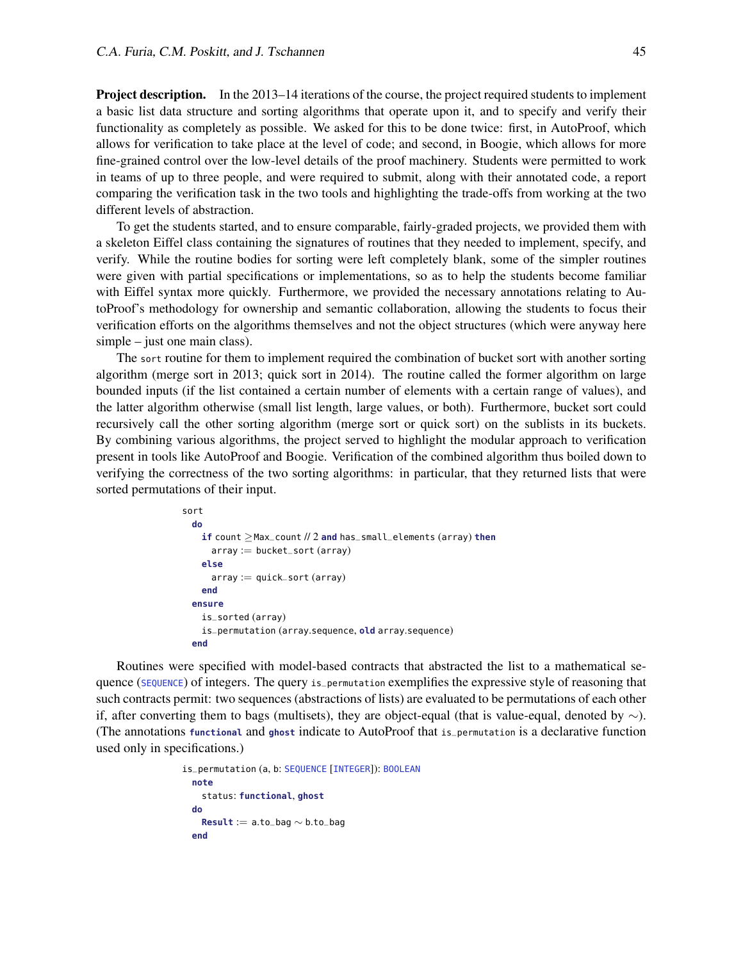Project description. In the 2013–14 iterations of the course, the project required students to implement a basic list data structure and sorting algorithms that operate upon it, and to specify and verify their functionality as completely as possible. We asked for this to be done twice: first, in AutoProof, which allows for verification to take place at the level of code; and second, in Boogie, which allows for more fine-grained control over the low-level details of the proof machinery. Students were permitted to work in teams of up to three people, and were required to submit, along with their annotated code, a report comparing the verification task in the two tools and highlighting the trade-offs from working at the two different levels of abstraction.

To get the students started, and to ensure comparable, fairly-graded projects, we provided them with a skeleton Eiffel class containing the signatures of routines that they needed to implement, specify, and verify. While the routine bodies for sorting were left completely blank, some of the simpler routines were given with partial specifications or implementations, so as to help the students become familiar with Eiffel syntax more quickly. Furthermore, we provided the necessary annotations relating to AutoProof's methodology for ownership and semantic collaboration, allowing the students to focus their verification efforts on the algorithms themselves and not the object structures (which were anyway here simple – just one main class).

The sort routine for them to implement required the combination of bucket sort with another sorting algorithm (merge sort in 2013; quick sort in 2014). The routine called the former algorithm on large bounded inputs (if the list contained a certain number of elements with a certain range of values), and the latter algorithm otherwise (small list length, large values, or both). Furthermore, bucket sort could recursively call the other sorting algorithm (merge sort or quick sort) on the sublists in its buckets. By combining various algorithms, the project served to highlight the modular approach to verification present in tools like AutoProof and Boogie. Verification of the combined algorithm thus boiled down to verifying the correctness of the two sorting algorithms: in particular, that they returned lists that were sorted permutations of their input.

```
sort
 do
   if count ≥Max_count // 2 and has_small_elements (array) then
     array := bucket\_sort (array)else
     array := quick\_sort (array)end
 ensure
   is_sorted (array)
   is_permutation (array.sequence, old array.sequence)
 end
```
Routines were specified with model-based contracts that abstracted the list to a mathematical sequence (SEQUENCE) of integers. The query is\_permutation exemplifies the expressive style of reasoning that such contracts permit: two sequences (abstractions of lists) are evaluated to be permutations of each other if, after converting them to bags (multisets), they are object-equal (that is value-equal, denoted by  $\sim$ ). (The annotations **functional** and **ghost** indicate to AutoProof that is\_permutation is a declarative function used only in specifications.)

```
is_permutation (a, b: SEQUENCE [INTEGER]): BOOLEAN
 note
   status: functional, ghost
 do
   Result := a.to_bag ∼ b.to_bag
  end
```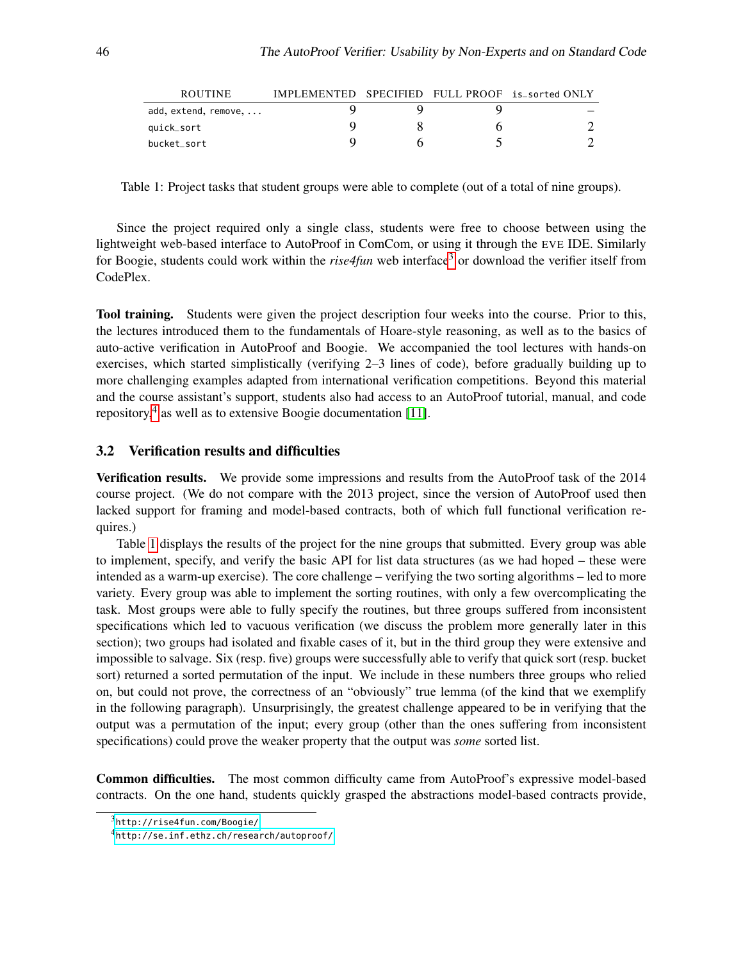| <b>ROUTINE</b>       | IMPLEMENTED SPECIFIED FULL PROOF is_sorted ONLY |  |  |
|----------------------|-------------------------------------------------|--|--|
| add, extend, remove, |                                                 |  |  |
| quick_sort           |                                                 |  |  |
| bucket_sort          |                                                 |  |  |

<span id="page-4-2"></span>Table 1: Project tasks that student groups were able to complete (out of a total of nine groups).

Since the project required only a single class, students were free to choose between using the lightweight web-based interface to AutoProof in ComCom, or using it through the EVE IDE. Similarly for Boogie, students could work within the *rise4fun* web interface<sup>[3](#page-4-0)</sup> or download the verifier itself from CodePlex.

Tool training. Students were given the project description four weeks into the course. Prior to this, the lectures introduced them to the fundamentals of Hoare-style reasoning, as well as to the basics of auto-active verification in AutoProof and Boogie. We accompanied the tool lectures with hands-on exercises, which started simplistically (verifying 2–3 lines of code), before gradually building up to more challenging examples adapted from international verification competitions. Beyond this material and the course assistant's support, students also had access to an AutoProof tutorial, manual, and code repository,<sup>[4](#page-4-1)</sup> as well as to extensive Boogie documentation [\[11\]](#page-12-4).

#### 3.2 Verification results and difficulties

Verification results. We provide some impressions and results from the AutoProof task of the 2014 course project. (We do not compare with the 2013 project, since the version of AutoProof used then lacked support for framing and model-based contracts, both of which full functional verification requires.)

Table [1](#page-4-2) displays the results of the project for the nine groups that submitted. Every group was able to implement, specify, and verify the basic API for list data structures (as we had hoped – these were intended as a warm-up exercise). The core challenge – verifying the two sorting algorithms – led to more variety. Every group was able to implement the sorting routines, with only a few overcomplicating the task. Most groups were able to fully specify the routines, but three groups suffered from inconsistent specifications which led to vacuous verification (we discuss the problem more generally later in this section); two groups had isolated and fixable cases of it, but in the third group they were extensive and impossible to salvage. Six (resp. five) groups were successfully able to verify that quick sort (resp. bucket sort) returned a sorted permutation of the input. We include in these numbers three groups who relied on, but could not prove, the correctness of an "obviously" true lemma (of the kind that we exemplify in the following paragraph). Unsurprisingly, the greatest challenge appeared to be in verifying that the output was a permutation of the input; every group (other than the ones suffering from inconsistent specifications) could prove the weaker property that the output was *some* sorted list.

Common difficulties. The most common difficulty came from AutoProof's expressive model-based contracts. On the one hand, students quickly grasped the abstractions model-based contracts provide,

<span id="page-4-0"></span><sup>3</sup><http://rise4fun.com/Boogie/>

<span id="page-4-1"></span><sup>4</sup><http://se.inf.ethz.ch/research/autoproof/>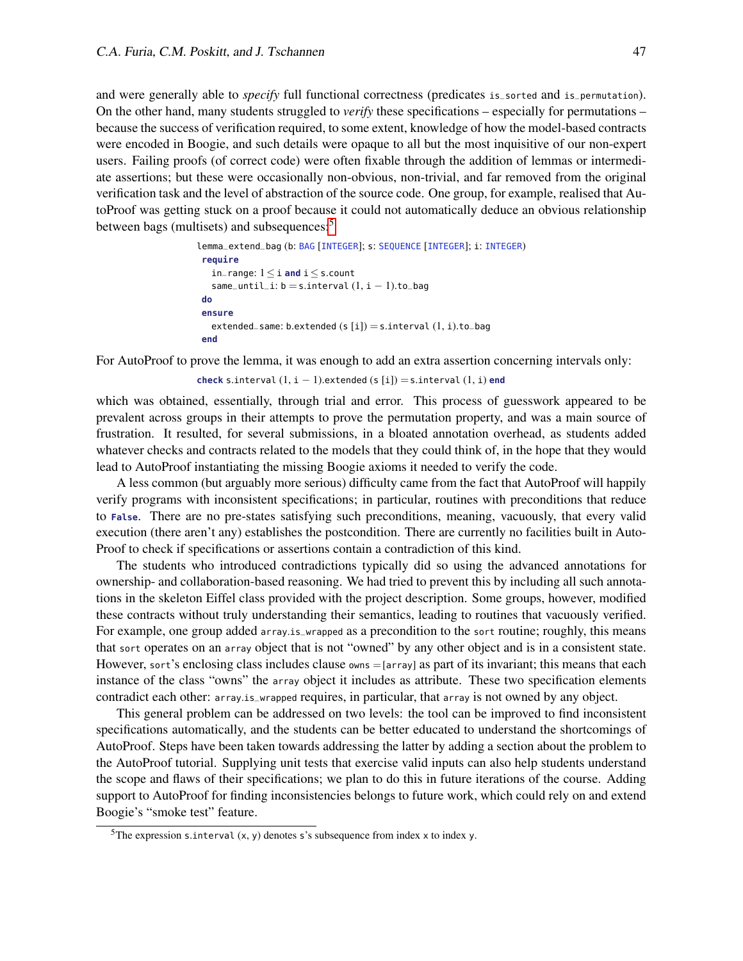and were generally able to *specify* full functional correctness (predicates is\_sorted and is\_permutation). On the other hand, many students struggled to *verify* these specifications – especially for permutations – because the success of verification required, to some extent, knowledge of how the model-based contracts were encoded in Boogie, and such details were opaque to all but the most inquisitive of our non-expert users. Failing proofs (of correct code) were often fixable through the addition of lemmas or intermediate assertions; but these were occasionally non-obvious, non-trivial, and far removed from the original verification task and the level of abstraction of the source code. One group, for example, realised that AutoProof was getting stuck on a proof because it could not automatically deduce an obvious relationship between bags (multisets) and subsequences:[5](#page-5-0)

```
lemma_extend_bag (b: BAG [INTEGER]; s: SEQUENCE [INTEGER]; i: INTEGER)
require
   in_range: 1≤ i and i≤ s.count
   same_until_i: b = s.interval (1, i - 1).to_bagdo
 ensure
   extended_same: b.extended (s[i]) = s.interval(1, i).to_bagend
```
For AutoProof to prove the lemma, it was enough to add an extra assertion concerning intervals only:

**check** s.interval  $(1, i - 1)$ . extended  $(s[i]) = s$ . interval  $(1, i)$  **end** 

which was obtained, essentially, through trial and error. This process of guesswork appeared to be prevalent across groups in their attempts to prove the permutation property, and was a main source of frustration. It resulted, for several submissions, in a bloated annotation overhead, as students added whatever checks and contracts related to the models that they could think of, in the hope that they would lead to AutoProof instantiating the missing Boogie axioms it needed to verify the code.

A less common (but arguably more serious) difficulty came from the fact that AutoProof will happily verify programs with inconsistent specifications; in particular, routines with preconditions that reduce to **False**. There are no pre-states satisfying such preconditions, meaning, vacuously, that every valid execution (there aren't any) establishes the postcondition. There are currently no facilities built in Auto-Proof to check if specifications or assertions contain a contradiction of this kind.

The students who introduced contradictions typically did so using the advanced annotations for ownership- and collaboration-based reasoning. We had tried to prevent this by including all such annotations in the skeleton Eiffel class provided with the project description. Some groups, however, modified these contracts without truly understanding their semantics, leading to routines that vacuously verified. For example, one group added array.is\_wrapped as a precondition to the sort routine; roughly, this means that sort operates on an array object that is not "owned" by any other object and is in a consistent state. However, sort's enclosing class includes clause owns =[array] as part of its invariant; this means that each instance of the class "owns" the array object it includes as attribute. These two specification elements contradict each other: array.is\_wrapped requires, in particular, that array is not owned by any object.

This general problem can be addressed on two levels: the tool can be improved to find inconsistent specifications automatically, and the students can be better educated to understand the shortcomings of AutoProof. Steps have been taken towards addressing the latter by adding a section about the problem to the AutoProof tutorial. Supplying unit tests that exercise valid inputs can also help students understand the scope and flaws of their specifications; we plan to do this in future iterations of the course. Adding support to AutoProof for finding inconsistencies belongs to future work, which could rely on and extend Boogie's "smoke test" feature.

<span id="page-5-0"></span><sup>&</sup>lt;sup>5</sup>The expression s.interval  $(x, y)$  denotes s's subsequence from index x to index y.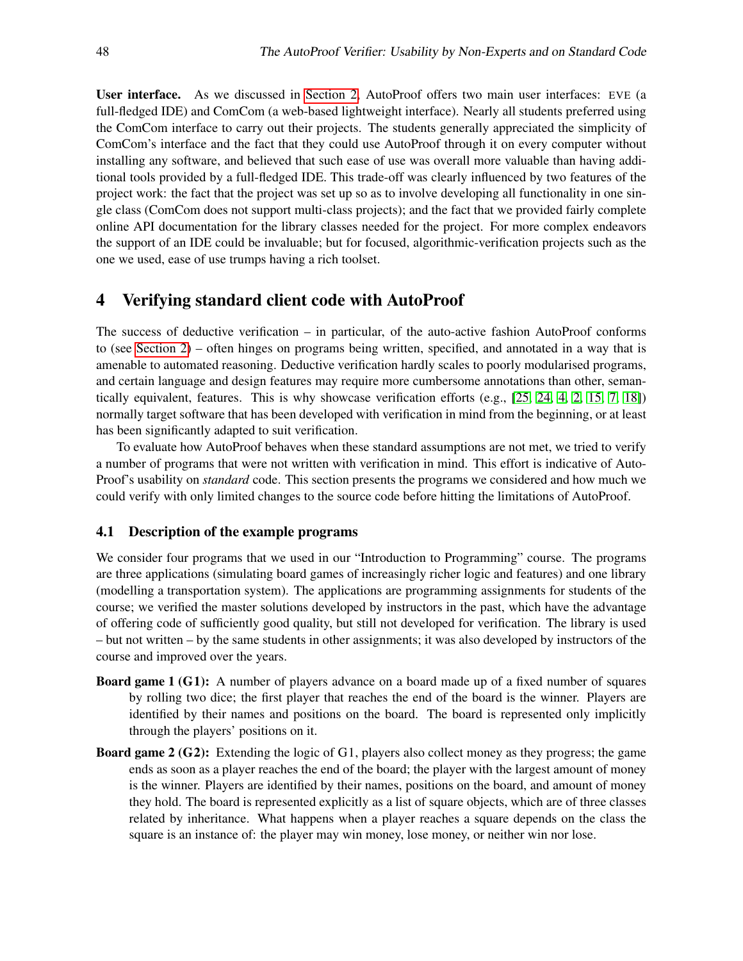User interface. As we discussed in [Section 2,](#page-1-0) AutoProof offers two main user interfaces: EVE (a full-fledged IDE) and ComCom (a web-based lightweight interface). Nearly all students preferred using the ComCom interface to carry out their projects. The students generally appreciated the simplicity of ComCom's interface and the fact that they could use AutoProof through it on every computer without installing any software, and believed that such ease of use was overall more valuable than having additional tools provided by a full-fledged IDE. This trade-off was clearly influenced by two features of the project work: the fact that the project was set up so as to involve developing all functionality in one single class (ComCom does not support multi-class projects); and the fact that we provided fairly complete online API documentation for the library classes needed for the project. For more complex endeavors the support of an IDE could be invaluable; but for focused, algorithmic-verification projects such as the one we used, ease of use trumps having a rich toolset.

## <span id="page-6-0"></span>4 Verifying standard client code with AutoProof

The success of deductive verification – in particular, of the auto-active fashion AutoProof conforms to (see [Section 2\)](#page-1-0) – often hinges on programs being written, specified, and annotated in a way that is amenable to automated reasoning. Deductive verification hardly scales to poorly modularised programs, and certain language and design features may require more cumbersome annotations than other, semantically equivalent, features. This is why showcase verification efforts (e.g., [\[25,](#page-13-2) [24,](#page-13-3) [4,](#page-12-9) [2,](#page-11-2) [15,](#page-12-10) [7,](#page-12-11) [18\]](#page-12-2)) normally target software that has been developed with verification in mind from the beginning, or at least has been significantly adapted to suit verification.

To evaluate how AutoProof behaves when these standard assumptions are not met, we tried to verify a number of programs that were not written with verification in mind. This effort is indicative of Auto-Proof's usability on *standard* code. This section presents the programs we considered and how much we could verify with only limited changes to the source code before hitting the limitations of AutoProof.

#### 4.1 Description of the example programs

We consider four programs that we used in our "Introduction to Programming" course. The programs are three applications (simulating board games of increasingly richer logic and features) and one library (modelling a transportation system). The applications are programming assignments for students of the course; we verified the master solutions developed by instructors in the past, which have the advantage of offering code of sufficiently good quality, but still not developed for verification. The library is used – but not written – by the same students in other assignments; it was also developed by instructors of the course and improved over the years.

- Board game 1 (G1): A number of players advance on a board made up of a fixed number of squares by rolling two dice; the first player that reaches the end of the board is the winner. Players are identified by their names and positions on the board. The board is represented only implicitly through the players' positions on it.
- Board game 2 (G2): Extending the logic of G1, players also collect money as they progress; the game ends as soon as a player reaches the end of the board; the player with the largest amount of money is the winner. Players are identified by their names, positions on the board, and amount of money they hold. The board is represented explicitly as a list of square objects, which are of three classes related by inheritance. What happens when a player reaches a square depends on the class the square is an instance of: the player may win money, lose money, or neither win nor lose.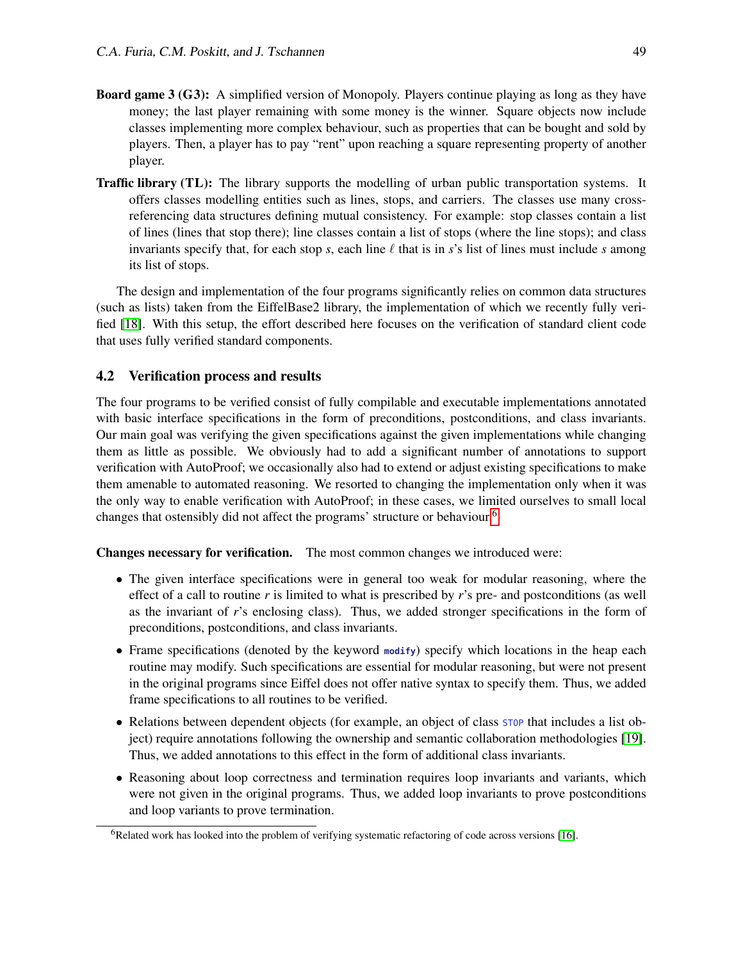- Board game 3 (G3): A simplified version of Monopoly. Players continue playing as long as they have money; the last player remaining with some money is the winner. Square objects now include classes implementing more complex behaviour, such as properties that can be bought and sold by players. Then, a player has to pay "rent" upon reaching a square representing property of another player.
- **Traffic library (TL):** The library supports the modelling of urban public transportation systems. It offers classes modelling entities such as lines, stops, and carriers. The classes use many crossreferencing data structures defining mutual consistency. For example: stop classes contain a list of lines (lines that stop there); line classes contain a list of stops (where the line stops); and class invariants specify that, for each stop *s*, each line  $\ell$  that is in *s*'s list of lines must include *s* among its list of stops.

The design and implementation of the four programs significantly relies on common data structures (such as lists) taken from the EiffelBase2 library, the implementation of which we recently fully verified [\[18\]](#page-12-2). With this setup, the effort described here focuses on the verification of standard client code that uses fully verified standard components.

#### 4.2 Verification process and results

The four programs to be verified consist of fully compilable and executable implementations annotated with basic interface specifications in the form of preconditions, postconditions, and class invariants. Our main goal was verifying the given specifications against the given implementations while changing them as little as possible. We obviously had to add a significant number of annotations to support verification with AutoProof; we occasionally also had to extend or adjust existing specifications to make them amenable to automated reasoning. We resorted to changing the implementation only when it was the only way to enable verification with AutoProof; in these cases, we limited ourselves to small local changes that ostensibly did not affect the programs' structure or behaviour.<sup>[6](#page-7-0)</sup>

Changes necessary for verification. The most common changes we introduced were:

- The given interface specifications were in general too weak for modular reasoning, where the effect of a call to routine *r* is limited to what is prescribed by *r*'s pre- and postconditions (as well as the invariant of *r*'s enclosing class). Thus, we added stronger specifications in the form of preconditions, postconditions, and class invariants.
- Frame specifications (denoted by the keyword **modify**) specify which locations in the heap each routine may modify. Such specifications are essential for modular reasoning, but were not present in the original programs since Eiffel does not offer native syntax to specify them. Thus, we added frame specifications to all routines to be verified.
- Relations between dependent objects (for example, an object of class  $5TOP$  that includes a list object) require annotations following the ownership and semantic collaboration methodologies [\[19\]](#page-12-5). Thus, we added annotations to this effect in the form of additional class invariants.
- Reasoning about loop correctness and termination requires loop invariants and variants, which were not given in the original programs. Thus, we added loop invariants to prove postconditions and loop variants to prove termination.

<span id="page-7-0"></span> $6R$ elated work has looked into the problem of verifying systematic refactoring of code across versions [\[16\]](#page-12-12).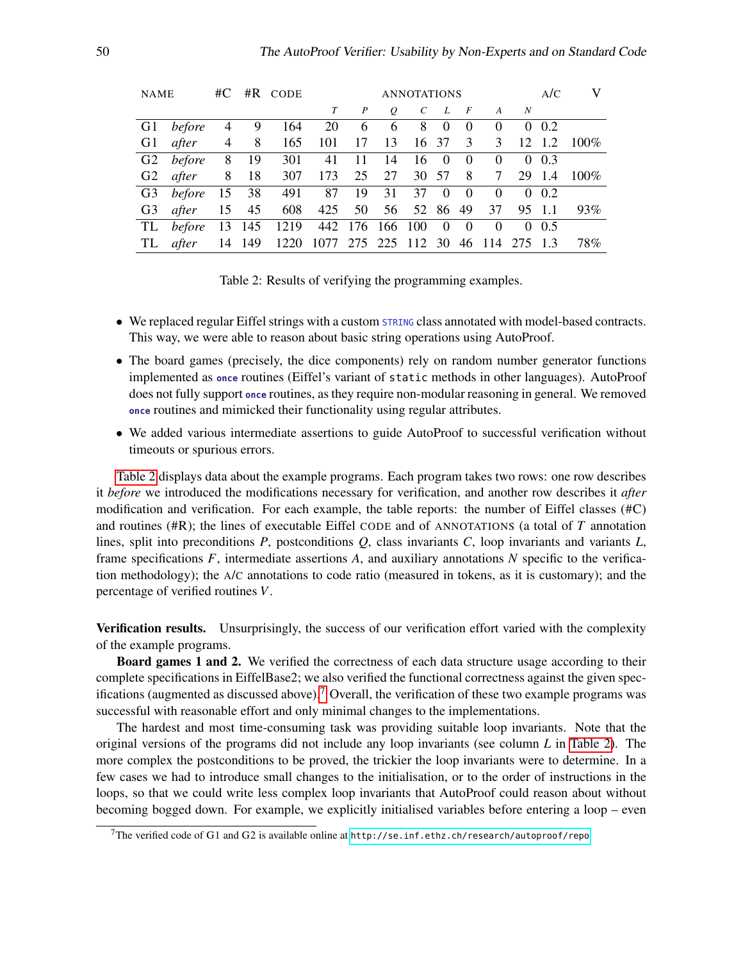| <b>NAME</b> |           |   |          | $\#C$ $\#R$ CODE                               |                        |                  |    | <b>ANNOTATIONS</b> |                |                |                 |           | A/C          | V             |
|-------------|-----------|---|----------|------------------------------------------------|------------------------|------------------|----|--------------------|----------------|----------------|-----------------|-----------|--------------|---------------|
|             |           |   |          |                                                |                        | $\boldsymbol{P}$ | 0  | $\mathcal{C}$      | L              | $\overline{F}$ | $A \qquad N$    |           |              |               |
| G1          | before    | 4 | 9        | 164                                            |                        | 20 6             | 6  | 8                  | $\overline{0}$ | $\Omega$       | $\theta$        |           | $0\;\;0.2$   |               |
| G1          | after     | 4 | $\sim$ 8 | 165                                            | 101                    | 17               | 13 | 16 37 3            |                |                |                 |           |              | 3 12 1.2 100% |
|             | G2 before | 8 | 19       | 301                                            | 41                     | -11              | 14 |                    | $16 \quad 0$   | $\theta$       | $\overline{0}$  |           | $0\;\;0.3$   |               |
| G2          | after     | 8 | 18       | 307                                            | 173                    | 25               | 27 |                    | 30 57 8        |                | $7\overline{ }$ |           | 29 1.4       | $100\%$       |
| G3          | before 15 |   | 38       |                                                | 491 87 19 31           |                  |    | 37                 | $\theta$       | $\overline{0}$ | $\Omega$        |           | $0 \;\; 0.2$ |               |
| G3          | after     |   | 15 45    |                                                | 608 425 50 56 52 86 49 |                  |    |                    |                |                |                 | 37 95 1.1 |              | 93%           |
| TL          |           |   |          | before 13 145 1219 442 176 166 100             |                        |                  |    |                    | $\mathbf{0}$   | $\overline{0}$ | $\overline{0}$  |           | $0\;\;0.5$   |               |
| TL.         | after     |   |          | 14 149 1220 1077 275 225 112 30 46 114 275 1.3 |                        |                  |    |                    |                |                |                 |           |              | 78%           |

<span id="page-8-0"></span>Table 2: Results of verifying the programming examples.

- We replaced regular Eiffel strings with a custom STRING class annotated with model-based contracts. This way, we were able to reason about basic string operations using AutoProof.
- The board games (precisely, the dice components) rely on random number generator functions implemented as **once** routines (Eiffel's variant of static methods in other languages). AutoProof does not fully support **once** routines, as they require non-modular reasoning in general. We removed **once** routines and mimicked their functionality using regular attributes.
- We added various intermediate assertions to guide AutoProof to successful verification without timeouts or spurious errors.

[Table 2](#page-8-0) displays data about the example programs. Each program takes two rows: one row describes it *before* we introduced the modifications necessary for verification, and another row describes it *after* modification and verification. For each example, the table reports: the number of Eiffel classes (#C) and routines (#R); the lines of executable Eiffel CODE and of ANNOTATIONS (a total of *T* annotation lines, split into preconditions *P*, postconditions *Q*, class invariants *C*, loop invariants and variants *L*, frame specifications *F*, intermediate assertions *A*, and auxiliary annotations *N* specific to the verification methodology); the A/C annotations to code ratio (measured in tokens, as it is customary); and the percentage of verified routines *V*.

**Verification results.** Unsurprisingly, the success of our verification effort varied with the complexity of the example programs.

Board games 1 and 2. We verified the correctness of each data structure usage according to their complete specifications in EiffelBase2; we also verified the functional correctness against the given spec-ifications (augmented as discussed above).<sup>[7](#page-8-1)</sup> Overall, the verification of these two example programs was successful with reasonable effort and only minimal changes to the implementations.

The hardest and most time-consuming task was providing suitable loop invariants. Note that the original versions of the programs did not include any loop invariants (see column *L* in [Table 2\)](#page-8-0). The more complex the postconditions to be proved, the trickier the loop invariants were to determine. In a few cases we had to introduce small changes to the initialisation, or to the order of instructions in the loops, so that we could write less complex loop invariants that AutoProof could reason about without becoming bogged down. For example, we explicitly initialised variables before entering a loop – even

<span id="page-8-1"></span><sup>&</sup>lt;sup>7</sup>The verified code of G1 and G2 is available online at <http://se.inf.ethz.ch/research/autoproof/repo>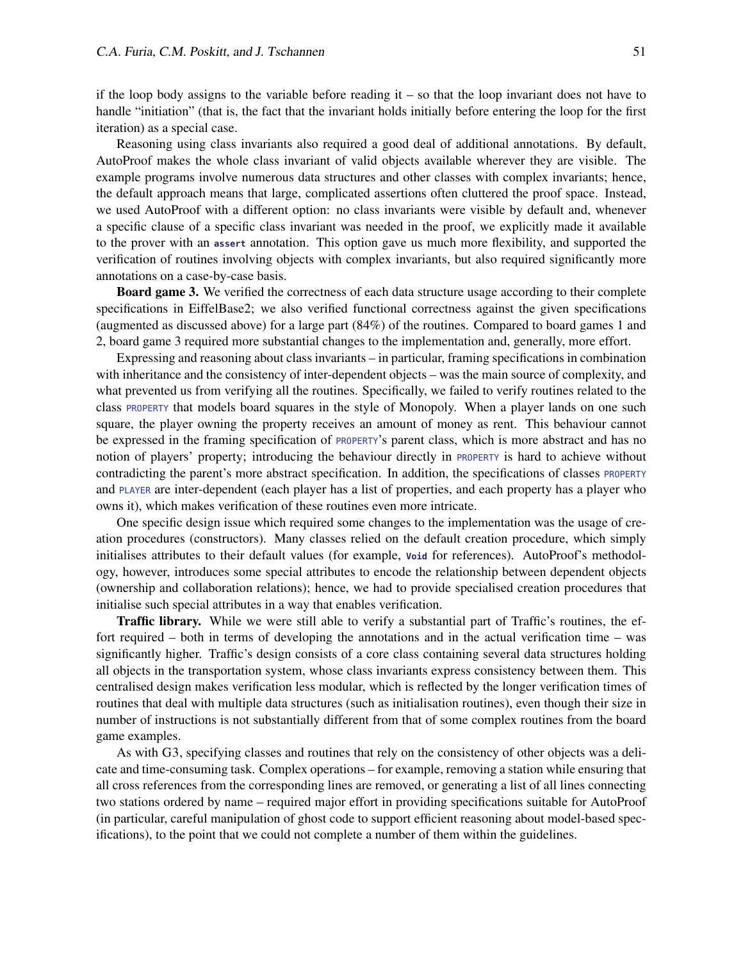if the loop body assigns to the variable before reading  $it - so$  that the loop invariant does not have to handle "initiation" (that is, the fact that the invariant holds initially before entering the loop for the first iteration) as a special case.

Reasoning using class invariants also required a good deal of additional annotations. By default, AutoProof makes the whole class invariant of valid objects available wherever they are visible. The example programs involve numerous data structures and other classes with complex invariants; hence, the default approach means that large, complicated assertions often cluttered the proof space. Instead, we used AutoProof with a different option: no class invariants were visible by default and, whenever a specific clause of a specific class invariant was needed in the proof, we explicitly made it available to the prover with an **assert** annotation. This option gave us much more flexibility, and supported the verification of routines involving objects with complex invariants, but also required significantly more annotations on a case-by-case basis.

Board game 3. We verified the correctness of each data structure usage according to their complete specifications in EiffelBase2; we also verified functional correctness against the given specifications (augmented as discussed above) for a large part (84%) of the routines. Compared to board games 1 and 2, board game 3 required more substantial changes to the implementation and, generally, more effort.

Expressing and reasoning about class invariants – in particular, framing specifications in combination with inheritance and the consistency of inter-dependent objects – was the main source of complexity, and what prevented us from verifying all the routines. Specifically, we failed to verify routines related to the class PROPERTY that models board squares in the style of Monopoly. When a player lands on one such square, the player owning the property receives an amount of money as rent. This behaviour cannot be expressed in the framing specification of **PROPERTY's** parent class, which is more abstract and has no notion of players' property; introducing the behaviour directly in PROPERTY is hard to achieve without contradicting the parent's more abstract specification. In addition, the specifications of classes PROPERTY and PLAYER are inter-dependent (each player has a list of properties, and each property has a player who owns it), which makes verification of these routines even more intricate.

One specific design issue which required some changes to the implementation was the usage of creation procedures (constructors). Many classes relied on the default creation procedure, which simply initialises attributes to their default values (for example, **Void** for references). AutoProof's methodology, however, introduces some special attributes to encode the relationship between dependent objects (ownership and collaboration relations); hence, we had to provide specialised creation procedures that initialise such special attributes in a way that enables verification.

Traffic library. While we were still able to verify a substantial part of Traffic's routines, the effort required – both in terms of developing the annotations and in the actual verification time – was significantly higher. Traffic's design consists of a core class containing several data structures holding all objects in the transportation system, whose class invariants express consistency between them. This centralised design makes verification less modular, which is reflected by the longer verification times of routines that deal with multiple data structures (such as initialisation routines), even though their size in number of instructions is not substantially different from that of some complex routines from the board game examples.

As with G3, specifying classes and routines that rely on the consistency of other objects was a delicate and time-consuming task. Complex operations – for example, removing a station while ensuring that all cross references from the corresponding lines are removed, or generating a list of all lines connecting two stations ordered by name – required major effort in providing specifications suitable for AutoProof (in particular, careful manipulation of ghost code to support efficient reasoning about model-based specifications), to the point that we could not complete a number of them within the guidelines.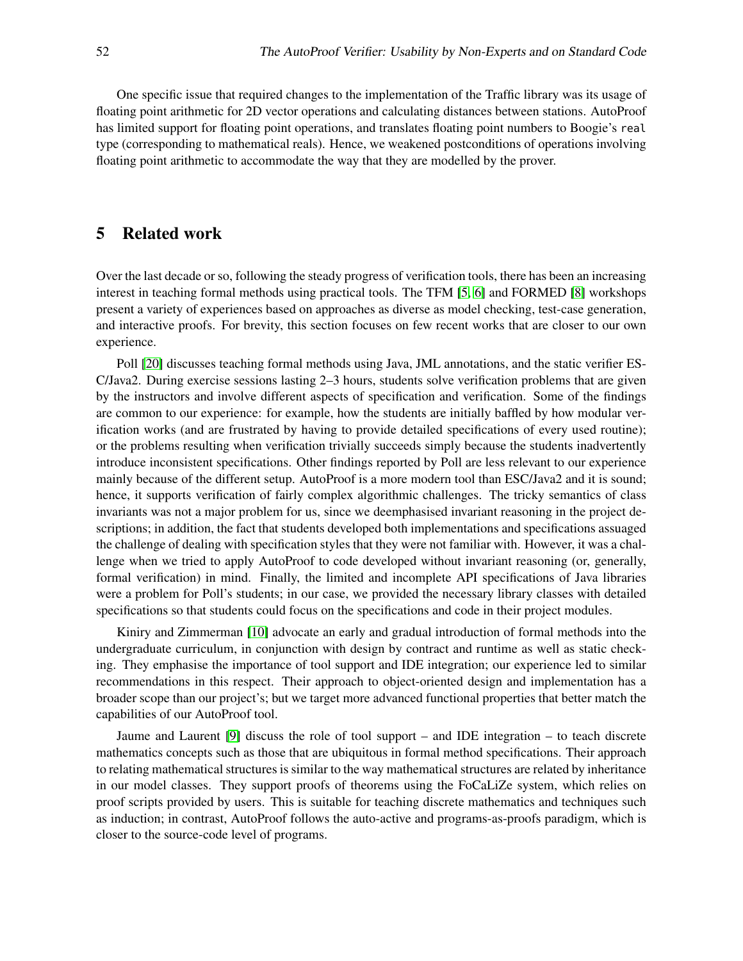One specific issue that required changes to the implementation of the Traffic library was its usage of floating point arithmetic for 2D vector operations and calculating distances between stations. AutoProof has limited support for floating point operations, and translates floating point numbers to Boogie's real type (corresponding to mathematical reals). Hence, we weakened postconditions of operations involving floating point arithmetic to accommodate the way that they are modelled by the prover.

## 5 Related work

Over the last decade or so, following the steady progress of verification tools, there has been an increasing interest in teaching formal methods using practical tools. The TFM [\[5,](#page-12-13) [6\]](#page-12-14) and FORMED [\[8\]](#page-12-15) workshops present a variety of experiences based on approaches as diverse as model checking, test-case generation, and interactive proofs. For brevity, this section focuses on few recent works that are closer to our own experience.

Poll [\[20\]](#page-12-16) discusses teaching formal methods using Java, JML annotations, and the static verifier ES-C/Java2. During exercise sessions lasting 2–3 hours, students solve verification problems that are given by the instructors and involve different aspects of specification and verification. Some of the findings are common to our experience: for example, how the students are initially baffled by how modular verification works (and are frustrated by having to provide detailed specifications of every used routine); or the problems resulting when verification trivially succeeds simply because the students inadvertently introduce inconsistent specifications. Other findings reported by Poll are less relevant to our experience mainly because of the different setup. AutoProof is a more modern tool than ESC/Java2 and it is sound; hence, it supports verification of fairly complex algorithmic challenges. The tricky semantics of class invariants was not a major problem for us, since we deemphasised invariant reasoning in the project descriptions; in addition, the fact that students developed both implementations and specifications assuaged the challenge of dealing with specification styles that they were not familiar with. However, it was a challenge when we tried to apply AutoProof to code developed without invariant reasoning (or, generally, formal verification) in mind. Finally, the limited and incomplete API specifications of Java libraries were a problem for Poll's students; in our case, we provided the necessary library classes with detailed specifications so that students could focus on the specifications and code in their project modules.

Kiniry and Zimmerman [\[10\]](#page-12-17) advocate an early and gradual introduction of formal methods into the undergraduate curriculum, in conjunction with design by contract and runtime as well as static checking. They emphasise the importance of tool support and IDE integration; our experience led to similar recommendations in this respect. Their approach to object-oriented design and implementation has a broader scope than our project's; but we target more advanced functional properties that better match the capabilities of our AutoProof tool.

Jaume and Laurent [\[9\]](#page-12-18) discuss the role of tool support – and IDE integration – to teach discrete mathematics concepts such as those that are ubiquitous in formal method specifications. Their approach to relating mathematical structures is similar to the way mathematical structures are related by inheritance in our model classes. They support proofs of theorems using the FoCaLiZe system, which relies on proof scripts provided by users. This is suitable for teaching discrete mathematics and techniques such as induction; in contrast, AutoProof follows the auto-active and programs-as-proofs paradigm, which is closer to the source-code level of programs.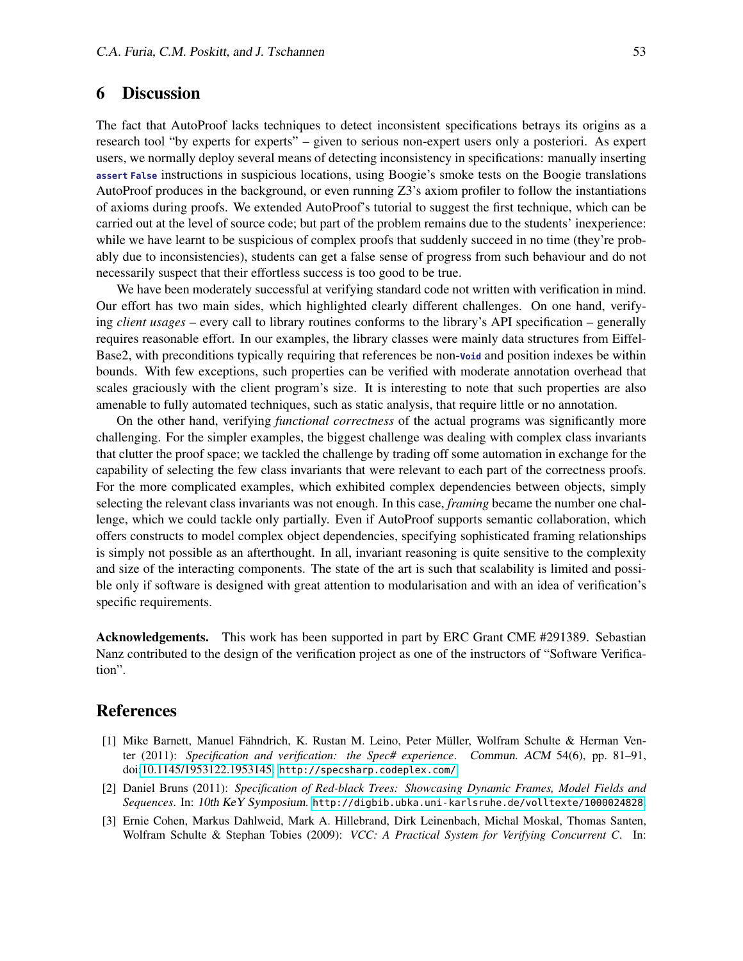## 6 Discussion

The fact that AutoProof lacks techniques to detect inconsistent specifications betrays its origins as a research tool "by experts for experts" – given to serious non-expert users only a posteriori. As expert users, we normally deploy several means of detecting inconsistency in specifications: manually inserting **assert False** instructions in suspicious locations, using Boogie's smoke tests on the Boogie translations AutoProof produces in the background, or even running Z3's axiom profiler to follow the instantiations of axioms during proofs. We extended AutoProof's tutorial to suggest the first technique, which can be carried out at the level of source code; but part of the problem remains due to the students' inexperience: while we have learnt to be suspicious of complex proofs that suddenly succeed in no time (they're probably due to inconsistencies), students can get a false sense of progress from such behaviour and do not necessarily suspect that their effortless success is too good to be true.

We have been moderately successful at verifying standard code not written with verification in mind. Our effort has two main sides, which highlighted clearly different challenges. On one hand, verifying *client usages* – every call to library routines conforms to the library's API specification – generally requires reasonable effort. In our examples, the library classes were mainly data structures from Eiffel-Base2, with preconditions typically requiring that references be non-**Void** and position indexes be within bounds. With few exceptions, such properties can be verified with moderate annotation overhead that scales graciously with the client program's size. It is interesting to note that such properties are also amenable to fully automated techniques, such as static analysis, that require little or no annotation.

On the other hand, verifying *functional correctness* of the actual programs was significantly more challenging. For the simpler examples, the biggest challenge was dealing with complex class invariants that clutter the proof space; we tackled the challenge by trading off some automation in exchange for the capability of selecting the few class invariants that were relevant to each part of the correctness proofs. For the more complicated examples, which exhibited complex dependencies between objects, simply selecting the relevant class invariants was not enough. In this case, *framing* became the number one challenge, which we could tackle only partially. Even if AutoProof supports semantic collaboration, which offers constructs to model complex object dependencies, specifying sophisticated framing relationships is simply not possible as an afterthought. In all, invariant reasoning is quite sensitive to the complexity and size of the interacting components. The state of the art is such that scalability is limited and possible only if software is designed with great attention to modularisation and with an idea of verification's specific requirements.

Acknowledgements. This work has been supported in part by ERC Grant CME #291389. Sebastian Nanz contributed to the design of the verification project as one of the instructors of "Software Verification".

## **References**

- <span id="page-11-0"></span>[1] Mike Barnett, Manuel Fähndrich, K. Rustan M. Leino, Peter Müller, Wolfram Schulte & Herman Venter (2011): *Specification and verification: the Spec# experience*. Commun. ACM 54(6), pp. 81–91, doi[:10.1145/1953122.1953145.](http://dx.doi.org/10.1145/1953122.1953145) <http://specsharp.codeplex.com/>.
- <span id="page-11-2"></span>[2] Daniel Bruns (2011): *Specification of Red-black Trees: Showcasing Dynamic Frames, Model Fields and Sequences*. In: 10th KeY Symposium. <http://digbib.ubka.uni-karlsruhe.de/volltexte/1000024828>.
- <span id="page-11-1"></span>[3] Ernie Cohen, Markus Dahlweid, Mark A. Hillebrand, Dirk Leinenbach, Michal Moskal, Thomas Santen, Wolfram Schulte & Stephan Tobies (2009): *VCC: A Practical System for Verifying Concurrent C*. In: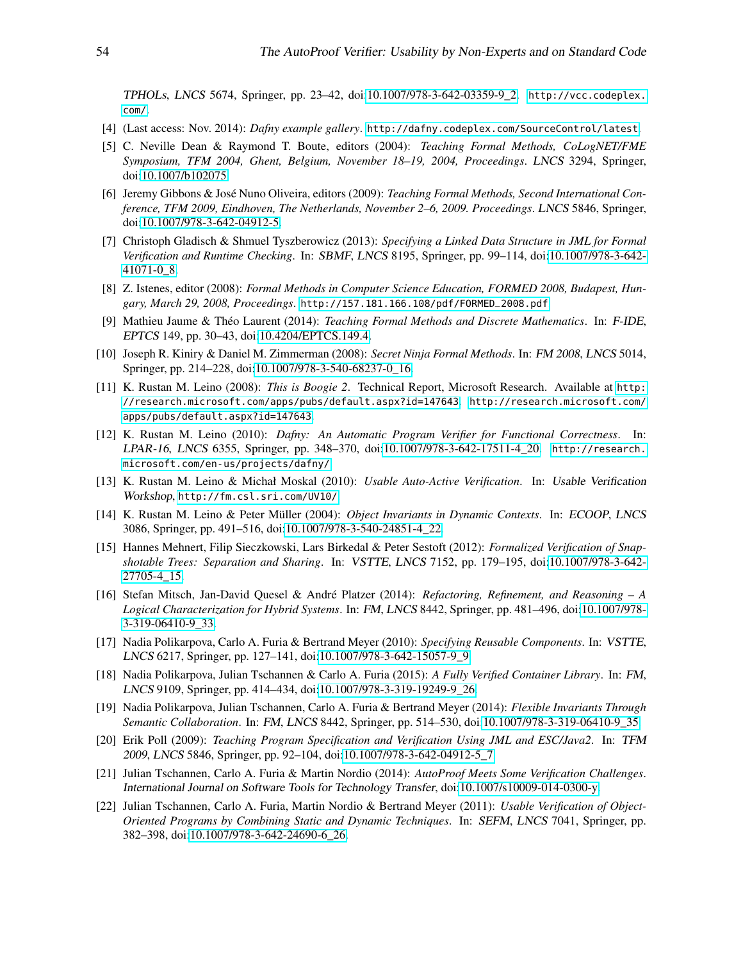TPHOLs, LNCS 5674, Springer, pp. 23–42, doi[:10.1007/978-3-642-03359-9\\_2.](http://dx.doi.org/10.1007/978-3-642-03359-9_2) [http://vcc.codeplex.](http://vcc.codeplex.com/) [com/](http://vcc.codeplex.com/).

- <span id="page-12-9"></span>[4] (Last access: Nov. 2014): *Dafny example gallery*. <http://dafny.codeplex.com/SourceControl/latest>.
- <span id="page-12-13"></span>[5] C. Neville Dean & Raymond T. Boute, editors (2004): *Teaching Formal Methods, CoLogNET/FME Symposium, TFM 2004, Ghent, Belgium, November 18–19, 2004, Proceedings*. LNCS 3294, Springer, doi[:10.1007/b102075.](http://dx.doi.org/10.1007/b102075)
- <span id="page-12-14"></span>[6] Jeremy Gibbons & José Nuno Oliveira, editors (2009): *Teaching Formal Methods, Second International Conference, TFM 2009, Eindhoven, The Netherlands, November 2–6, 2009. Proceedings*. LNCS 5846, Springer, doi[:10.1007/978-3-642-04912-5.](http://dx.doi.org/10.1007/978-3-642-04912-5)
- <span id="page-12-11"></span>[7] Christoph Gladisch & Shmuel Tyszberowicz (2013): *Specifying a Linked Data Structure in JML for Formal Verification and Runtime Checking*. In: SBMF, LNCS 8195, Springer, pp. 99–114, doi[:10.1007/978-3-642-](http://dx.doi.org/10.1007/978-3-642-41071-0_8) [41071-0\\_8.](http://dx.doi.org/10.1007/978-3-642-41071-0_8)
- <span id="page-12-15"></span>[8] Z. Istenes, editor (2008): *Formal Methods in Computer Science Education, FORMED 2008, Budapest, Hungary, March 29, 2008, Proceedings*. [http://157.181.166.108/pdf/FORMED\\_2008.pdf](http://157.181.166.108/pdf/FORMED_2008.pdf).
- <span id="page-12-18"></span>[9] Mathieu Jaume & Théo Laurent (2014): *Teaching Formal Methods and Discrete Mathematics*. In: F-IDE, EPTCS 149, pp. 30–43, doi[:10.4204/EPTCS.149.4.](http://dx.doi.org/10.4204/EPTCS.149.4)
- <span id="page-12-17"></span>[10] Joseph R. Kiniry & Daniel M. Zimmerman (2008): *Secret Ninja Formal Methods*. In: FM 2008, LNCS 5014, Springer, pp. 214–228, doi[:10.1007/978-3-540-68237-0\\_16.](http://dx.doi.org/10.1007/978-3-540-68237-0_16)
- <span id="page-12-4"></span>[11] K. Rustan M. Leino (2008): *This is Boogie 2*. Technical Report, Microsoft Research. Available at [http:](http://research.microsoft.com/apps/pubs/default.aspx?id=147643) [//research.microsoft.com/apps/pubs/default.aspx?id=147643](http://research.microsoft.com/apps/pubs/default.aspx?id=147643). [http://research.microsoft.com/](http://research.microsoft.com/apps/pubs/default.aspx?id=147643) [apps/pubs/default.aspx?id=147643](http://research.microsoft.com/apps/pubs/default.aspx?id=147643).
- <span id="page-12-3"></span>[12] K. Rustan M. Leino (2010): *Dafny: An Automatic Program Verifier for Functional Correctness*. In: LPAR-16, LNCS 6355, Springer, pp. 348–370, doi[:10.1007/978-3-642-17511-4\\_20.](http://dx.doi.org/10.1007/978-3-642-17511-4_20) [http://research.](http://research.microsoft.com/en-us/projects/dafny/) [microsoft.com/en-us/projects/dafny/](http://research.microsoft.com/en-us/projects/dafny/).
- <span id="page-12-1"></span>[13] K. Rustan M. Leino & Michał Moskal (2010): *Usable Auto-Active Verification*. In: Usable Verification Workshop, <http://fm.csl.sri.com/UV10/>.
- <span id="page-12-6"></span>[14] K. Rustan M. Leino & Peter Müller (2004): *Object Invariants in Dynamic Contexts*. In: ECOOP, LNCS 3086, Springer, pp. 491–516, doi[:10.1007/978-3-540-24851-4\\_22.](http://dx.doi.org/10.1007/978-3-540-24851-4_22)
- <span id="page-12-10"></span>[15] Hannes Mehnert, Filip Sieczkowski, Lars Birkedal & Peter Sestoft (2012): *Formalized Verification of Snapshotable Trees: Separation and Sharing*. In: VSTTE, LNCS 7152, pp. 179–195, doi[:10.1007/978-3-642-](http://dx.doi.org/10.1007/978-3-642-27705-4_15) [27705-4\\_15.](http://dx.doi.org/10.1007/978-3-642-27705-4_15)
- <span id="page-12-12"></span>[16] Stefan Mitsch, Jan-David Quesel & André Platzer (2014): *Refactoring, Refinement, and Reasoning – A Logical Characterization for Hybrid Systems*. In: FM, LNCS 8442, Springer, pp. 481–496, doi[:10.1007/978-](http://dx.doi.org/10.1007/978-3-319-06410-9_33) [3-319-06410-9\\_33.](http://dx.doi.org/10.1007/978-3-319-06410-9_33)
- <span id="page-12-7"></span>[17] Nadia Polikarpova, Carlo A. Furia & Bertrand Meyer (2010): *Specifying Reusable Components*. In: VSTTE, LNCS 6217, Springer, pp. 127–141, doi[:10.1007/978-3-642-15057-9\\_9.](http://dx.doi.org/10.1007/978-3-642-15057-9_9)
- <span id="page-12-2"></span>[18] Nadia Polikarpova, Julian Tschannen & Carlo A. Furia (2015): *A Fully Verified Container Library*. In: FM, LNCS 9109, Springer, pp. 414–434, doi[:10.1007/978-3-319-19249-9\\_26.](http://dx.doi.org/10.1007/978-3-319-19249-9_26)
- <span id="page-12-5"></span>[19] Nadia Polikarpova, Julian Tschannen, Carlo A. Furia & Bertrand Meyer (2014): *Flexible Invariants Through Semantic Collaboration*. In: FM, LNCS 8442, Springer, pp. 514–530, doi[:10.1007/978-3-319-06410-9\\_35.](http://dx.doi.org/10.1007/978-3-319-06410-9_35)
- <span id="page-12-16"></span>[20] Erik Poll (2009): *Teaching Program Specification and Verification Using JML and ESC/Java2*. In: TFM 2009, LNCS 5846, Springer, pp. 92–104, doi[:10.1007/978-3-642-04912-5\\_7.](http://dx.doi.org/10.1007/978-3-642-04912-5_7)
- <span id="page-12-8"></span>[21] Julian Tschannen, Carlo A. Furia & Martin Nordio (2014): *AutoProof Meets Some Verification Challenges*. International Journal on Software Tools for Technology Transfer, doi[:10.1007/s10009-014-0300-y.](http://dx.doi.org/10.1007/s10009-014-0300-y)
- <span id="page-12-0"></span>[22] Julian Tschannen, Carlo A. Furia, Martin Nordio & Bertrand Meyer (2011): *Usable Verification of Object-Oriented Programs by Combining Static and Dynamic Techniques*. In: SEFM, LNCS 7041, Springer, pp. 382–398, doi[:10.1007/978-3-642-24690-6\\_26.](http://dx.doi.org/10.1007/978-3-642-24690-6_26)